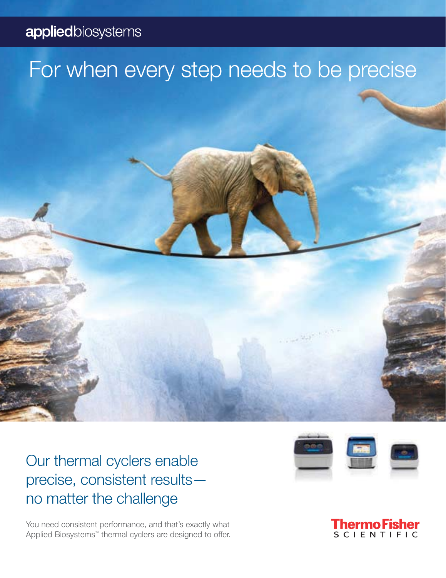### appliedbiosystems

## For when every step needs to be precise

Our thermal cyclers enable precise, consistent results no matter the challenge

You need consistent performance, and that's exactly what Applied Biosystems™ thermal cyclers are designed to offer.



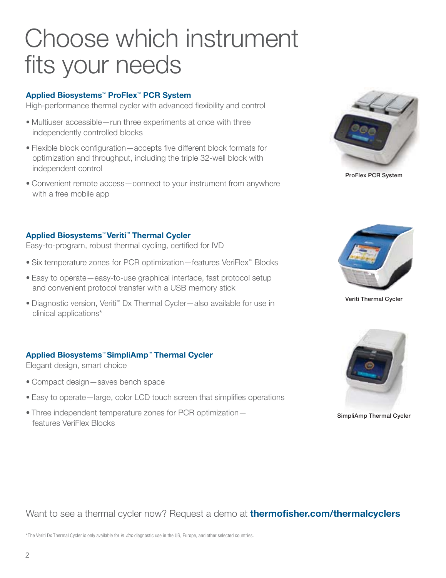# Choose which instrument fits your needs

### **Applied Biosystems™ ProFlex™ PCR System**

High-performance thermal cycler with advanced flexibility and control

- Multiuser accessible—run three experiments at once with three independently controlled blocks
- Flexible block configuration—accepts five different block formats for optimization and throughput, including the triple 32-well block with independent control
- Convenient remote access—connect to your instrument from anywhere with a free mobile app

### **Applied Biosystems™ Veriti™ Thermal Cycler**

Easy-to-program, robust thermal cycling, certified for IVD

- Six temperature zones for PCR optimization—features VeriFlex<sup>™</sup> Blocks
- Easy to operate easy-to-use graphical interface, fast protocol setup and convenient protocol transfer with a USB memory stick
- Diagnostic version, Veriti™ Dx Thermal Cycler—also available for use in clinical applications\*

#### **Applied Biosystems™ SimpliAmp™ Thermal Cycler**

Elegant design, smart choice

- Compact design—saves bench space
- Easy to operate—large, color LCD touch screen that simplifies operations
- Three independent temperature zones for PCR optimization features VeriFlex Blocks



**ProFlex PCR System**



**Veriti Thermal Cycler**



**SimpliAmp Thermal Cycler**

### Want to see a thermal cycler now? Request a demo at **thermofisher.com/thermalcyclers**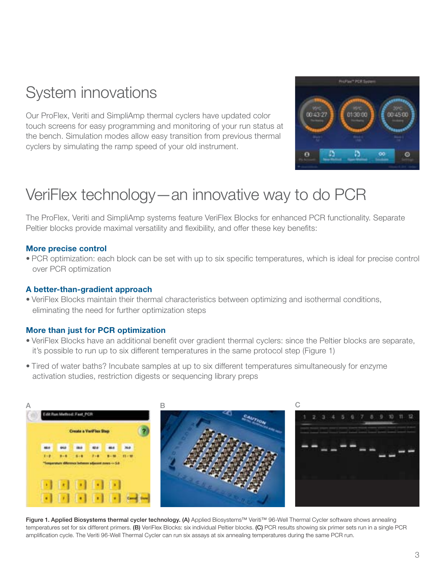### System innovations

Our ProFlex, Veriti and SimpliAmp thermal cyclers have updated color touch screens for easy programming and monitoring of your run status at the bench. Simulation modes allow easy transition from previous thermal cyclers by simulating the ramp speed of your old instrument.



### VeriFlex technology—an innovative way to do PCR

The ProFlex, Veriti and SimpliAmp systems feature VeriFlex Blocks for enhanced PCR functionality. Separate Peltier blocks provide maximal versatility and flexibility, and offer these key benefits:

### **More precise control**

• PCR optimization: each block can be set with up to six specific temperatures, which is ideal for precise control over PCR optimization

#### **A better-than-gradient approach**

• VeriFlex Blocks maintain their thermal characteristics between optimizing and isothermal conditions, eliminating the need for further optimization steps

#### **More than just for PCR optimization**

- A VeriFlex Blocks have an additional benefit over gradient thermal cyclers: since the Peltier blocks are separate, it's possible to run up to six different temperatures in the same protocol step (Figure 1)
- Tired of water baths? Incubate samples at up to six different temperatures simultaneously for enzyme activation studies, restriction digests or sequencing library preps



**Figure 1. Applied Biosystems thermal cycler technology. (A)** Applied Biosystems™ Veriti™ 96-Well Thermal Cycler software shows annealing temperatures set for six different primers. **(B)** VeriFlex Blocks: six individual Peltier blocks. **(C)** PCR results showing six primer sets run in a single PCR amplification cycle. The Veriti 96-Well Thermal Cycler can run six assays at six annealing temperatures during the same PCR run.